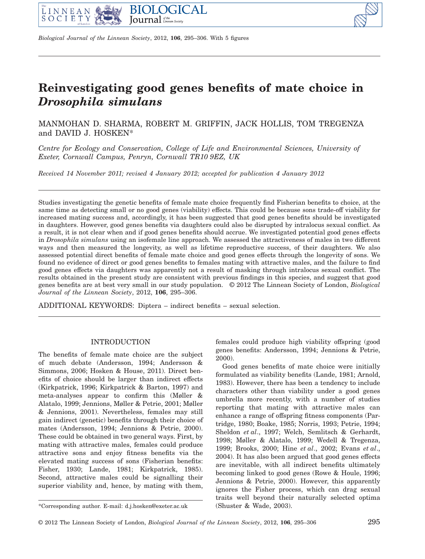



*Biological Journal of the Linnean Society*, 2012, **106**, 295–306. With 5 figures

# **Reinvestigating good genes benefits of mate choice in** *Drosophila simulans*

MANMOHAN D. SHARMA, ROBERT M. GRIFFIN, JACK HOLLIS, TOM TREGENZA and DAVID J. HOSKEN\*

*Centre for Ecology and Conservation, College of Life and Environmental Sciences, University of Exeter, Cornwall Campus, Penryn, Cornwall TR10 9EZ, UK*

*Received 14 November 2011; revised 4 January 2012; accepted for publication 4 January 2012* 

Studies investigating the genetic benefits of female mate choice frequently find Fisherian benefits to choice, at the same time as detecting small or no good genes (viability) effects. This could be because sons trade-off viability for increased mating success and, accordingly, it has been suggested that good genes benefits should be investigated in daughters. However, good genes benefits via daughters could also be disrupted by intralocus sexual conflict. As a result, it is not clear when and if good genes benefits should accrue. We investigated potential good genes effects in *Drosophila simulans* using an isofemale line approach. We assessed the attractiveness of males in two different ways and then measured the longevity, as well as lifetime reproductive success, of their daughters. We also assessed potential direct benefits of female mate choice and good genes effects through the longevity of sons. We found no evidence of direct or good genes benefits to females mating with attractive males, and the failure to find good genes effects via daughters was apparently not a result of masking through intralocus sexual conflict. The results obtained in the present study are consistent with previous findings in this species, and suggest that good genes benefits are at best very small in our study population. © 2012 The Linnean Society of London, *Biological Journal of the Linnean Society*, 2012, **106**, 295–306.

ADDITIONAL KEYWORDS: Diptera – indirect benefits – sexual selection.

# INTRODUCTION

The benefits of female mate choice are the subject of much debate (Andersson, 1994; Andersson & Simmons, 2006; Hosken & House, 2011). Direct benefits of choice should be larger than indirect effects (Kirkpatrick, 1996; Kirkpatrick & Barton, 1997) and meta-analyses appear to confirm this (Møller & Alatalo, 1999; Jennions, Møller & Petrie, 2001; Møller & Jennions, 2001). Nevertheless, females may still gain indirect (genetic) benefits through their choice of mates (Andersson, 1994; Jennions & Petrie, 2000). These could be obtained in two general ways. First, by mating with attractive males, females could produce attractive sons and enjoy fitness benefits via the elevated mating success of sons (Fisherian benefits: Fisher, 1930; Lande, 1981; Kirkpatrick, 1985). Second, attractive males could be signalling their superior viability and, hence, by mating with them,

Good genes benefits of mate choice were initially formulated as viability benefits (Lande, 1981; Arnold, 1983). However, there has been a tendency to include characters other than viability under a good genes umbrella more recently, with a number of studies reporting that mating with attractive males can enhance a range of offspring fitness components (Partridge, 1980; Boake, 1985; Norris, 1993; Petrie, 1994; Sheldon *et al*., 1997; Welch, Semlitsch & Gerhardt, 1998; Møller & Alatalo, 1999; Wedell & Tregenza, 1999; Brooks, 2000; Hine *et al*., 2002; Evans *et al*., 2004). It has also been argued that good genes effects are inevitable, with all indirect benefits ultimately becoming linked to good genes (Rowe & Houle, 1996; Jennions & Petrie, 2000). However, this apparently ignores the Fisher process, which can drag sexual traits well beyond their naturally selected optima

females could produce high viability offspring (good genes benefits: Andersson, 1994; Jennions & Petrie, 2000).

<sup>\*</sup>Corresponding author. E-mail: d.j.hosken@exeter.ac.uk (Shuster & Wade, 2003).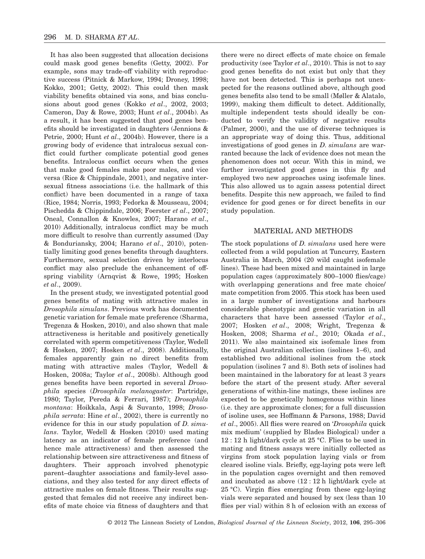It has also been suggested that allocation decisions could mask good genes benefits (Getty, 2002). For example, sons may trade-off viability with reproductive success (Pitnick & Markow, 1994; Droney, 1998; Kokko, 2001; Getty, 2002). This could then mask viability benefits obtained via sons, and bias conclusions about good genes (Kokko *et al*., 2002, 2003; Cameron, Day & Rowe, 2003; Hunt *et al*., 2004b). As a result, it has been suggested that good genes benefits should be investigated in daughters (Jennions & Petrie, 2000; Hunt *et al*., 2004b). However, there is a growing body of evidence that intralocus sexual conflict could further complicate potential good genes benefits. Intralocus conflict occurs when the genes that make good females make poor males, and vice versa (Rice & Chippindale, 2001), and negative intersexual fitness associations (i.e. the hallmark of this conflict) have been documented in a range of taxa (Rice, 1984; Norris, 1993; Fedorka & Mousseau, 2004; Pischedda & Chippindale, 2006; Foerster *et al*., 2007; Oneal, Connallon & Knowles, 2007; Harano *et al*., 2010) Additionally, intralocus conflict may be much more difficult to resolve than currently assumed (Day & Bonduriansky, 2004; Harano *et al*., 2010), potentially limiting good genes benefits through daughters. Furthermore, sexual selection driven by interlocus conflict may also preclude the enhancement of offspring viability (Arnqvist & Rowe, 1995; Hosken *et al*., 2009).

In the present study, we investigated potential good genes benefits of mating with attractive males in *Drosophila simulans*. Previous work has documented genetic variation for female mate preference (Sharma, Tregenza & Hosken, 2010), and also shown that male attractiveness is heritable and positively genetically correlated with sperm competitiveness (Taylor, Wedell & Hosken, 2007; Hosken *et al*., 2008). Additionally, females apparently gain no direct benefits from mating with attractive males (Taylor, Wedell & Hosken, 2008a; Taylor *et al*., 2008b). Although good genes benefits have been reported in several *Drosophila* species (*Drosophila melanogaster*: Partridge, 1980; Taylor, Pereda & Ferrari, 1987); *Drosophila montana*: Hoikkala, Aspi & Suvanto, 1998; *Drosophila serrata*: Hine *et al*., 2002), there is currently no evidence for this in our study population of *D. simulans*. Taylor, Wedell & Hosken (2010) used mating latency as an indicator of female preference (and hence male attractiveness) and then assessed the relationship between sire attractiveness and fitness of daughters. Their approach involved phenotypic parent–daughter associations and family-level associations, and they also tested for any direct effects of attractive males on female fitness. Their results suggested that females did not receive any indirect benefits of mate choice via fitness of daughters and that

there were no direct effects of mate choice on female productivity (see Taylor *et al*., 2010). This is not to say good genes benefits do not exist but only that they have not been detected. This is perhaps not unexpected for the reasons outlined above, although good genes benefits also tend to be small (Møller & Alatalo, 1999), making them difficult to detect. Additionally, multiple independent tests should ideally be conducted to verify the validity of negative results (Palmer, 2000), and the use of diverse techniques is an appropriate way of doing this. Thus, additional investigations of good genes in *D. simulans* are warranted because the lack of evidence does not mean the phenomenon does not occur. With this in mind, we further investigated good genes in this fly and employed two new approaches using isofemale lines. This also allowed us to again assess potential direct benefits. Despite this new approach, we failed to find evidence for good genes or for direct benefits in our study population.

### MATERIAL AND METHODS

The stock populations of *D. simulans* used here were collected from a wild population at Tuncurry, Eastern Australia in March, 2004 (20 wild caught isofemale lines). These had been mixed and maintained in large population cages (approximately 800–1000 flies/cage) with overlapping generations and free mate choice/ mate competition from 2005. This stock has been used in a large number of investigations and harbours considerable phenotypic and genetic variation in all characters that have been assessed (Taylor *et al*., 2007; Hosken *et al*., 2008; Wright, Tregenza & Hosken, 2008; Sharma *et al*., 2010; Okada *et al*., 2011). We also maintained six isofemale lines from the original Australian collection (isolines 1–6), and established two additional isolines from the stock population (isolines 7 and 8). Both sets of isolines had been maintained in the laboratory for at least 3 years before the start of the present study. After several generations of within-line matings, these isolines are expected to be genetically homogenous within lines (i.e. they are approximate clones; for a full discussion of isoline uses, see Hoffmann & Parsons, 1988; David *et al*., 2005). All flies were reared on '*Drosophila* quick mix medium' (supplied by Blades Biological) under a 12 : 12 h light/dark cycle at 25 °C. Flies to be used in mating and fitness assays were initially collected as virgins from stock population laying vials or from cleared isoline vials. Briefly, egg-laying pots were left in the population cages overnight and then removed and incubated as above (12 : 12 h light/dark cycle at 25 °C). Virgin flies emerging from these egg-laying vials were separated and housed by sex (less than 10 flies per vial) within 8 h of eclosion with an excess of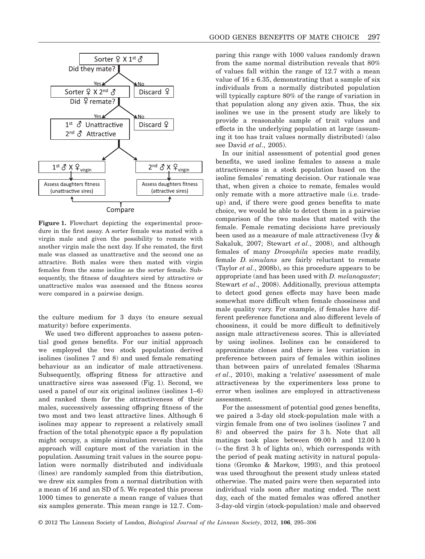

**Figure 1.** Flowchart depicting the experimental procedure in the first assay. A sorter female was mated with a virgin male and given the possibility to remate with another virgin male the next day. If she remated, the first male was classed as unattractive and the second one as attractive. Both males were then mated with virgin females from the same isoline as the sorter female. Subsequently, the fitness of daughters sired by attractive or unattractive males was assessed and the fitness scores were compared in a pairwise design.

the culture medium for 3 days (to ensure sexual maturity) before experiments.

We used two different approaches to assess potential good genes benefits. For our initial approach we employed the two stock population derived isolines (isolines 7 and 8) and used female remating behaviour as an indicator of male attractiveness. Subsequently, offspring fitness for attractive and unattractive sires was assessed (Fig. 1). Second, we used a panel of our six original isolines (isolines 1–6) and ranked them for the attractiveness of their males, successively assessing offspring fitness of the two most and two least attractive lines. Although 6 isolines may appear to represent a relatively small fraction of the total phenotypic space a fly population might occupy, a simple simulation reveals that this approach will capture most of the variation in the population. Assuming trait values in the source population were normally distributed and individuals (lines) are randomly sampled from this distribution, we drew six samples from a normal distribution with a mean of 16 and an SD of 5. We repeated this process 1000 times to generate a mean range of values that six samples generate. This mean range is 12.7. Comparing this range with 1000 values randomly drawn from the same normal distribution reveals that 80% of values fall within the range of 12.7 with a mean value of  $16 \pm 6.35$ , demonstrating that a sample of six individuals from a normally distributed population will typically capture 80% of the range of variation in that population along any given axis. Thus, the six isolines we use in the present study are likely to provide a reasonable sample of trait values and effects in the underlying population at large (assuming it too has trait values normally distributed) (also see David *et al*., 2005).

In our initial assessment of potential good genes benefits, we used isoline females to assess a male attractiveness in a stock population based on the isoline females' remating decision. Our rationale was that, when given a choice to remate, females would only remate with a more attractive male (i.e. tradeup) and, if there were good genes benefits to mate choice, we would be able to detect them in a pairwise comparison of the two males that mated with the female. Female remating decisions have previously been used as a measure of male attractiveness (Ivy & Sakaluk, 2007; Stewart *et al*., 2008), and although females of many *Drosophila* species mate readily, female *D. simulans* are fairly reluctant to remate (Taylor *et al*., 2008b), so this procedure appears to be appropriate (and has been used with *D. melanogaster*; Stewart *et al*., 2008). Additionally, previous attempts to detect good genes effects may have been made somewhat more difficult when female choosiness and male quality vary. For example, if females have different preference functions and also different levels of choosiness, it could be more difficult to definitively assign male attractiveness scores. This is alleviated by using isolines. Isolines can be considered to approximate clones and there is less variation in preference between pairs of females within isolines than between pairs of unrelated females (Sharma *et al*., 2010), making a 'relative' assessment of male attractiveness by the experimenters less prone to error when isolines are employed in attractiveness assessment.

For the assessment of potential good genes benefits, we paired a 3-day old stock-population male with a virgin female from one of two isolines (isolines 7 and 8) and observed the pairs for 3 h. Note that all matings took place between 09.00 h and 12.00 h (= the first 3 h of lights on), which corresponds with the period of peak mating activity in natural populations (Gromko & Markow, 1993), and this protocol was used throughout the present study unless stated otherwise. The mated pairs were then separated into individual vials soon after mating ended. The next day, each of the mated females was offered another 3-day-old virgin (stock-population) male and observed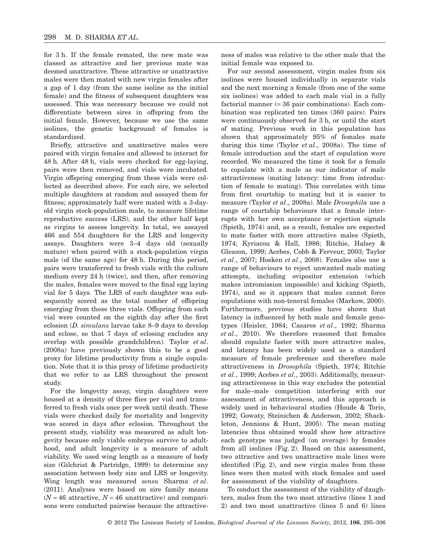for 3 h. If the female remated, the new mate was classed as attractive and her previous mate was deemed unattractive. These attractive or unattractive males were then mated with new virgin females after a gap of 1 day (from the same isoline as the initial female) and the fitness of subsequent daughters was assessed. This was necessary because we could not differentiate between sires in offspring from the initial female. However, because we use the same isolines, the genetic background of females is standardized.

Briefly, attractive and unattractive males were paired with virgin females and allowed to interact for 48 h. After 48 h, vials were checked for egg-laying, pairs were then removed, and vials were incubated. Virgin offspring emerging from these vials were collected as described above. For each sire, we selected multiple daughters at random and assayed them for fitness; approximately half were mated with a 3-dayold virgin stock-population male, to measure lifetime reproductive success (LRS), and the other half kept as virgins to assess longevity. In total, we assayed 466 and 554 daughters for the LRS and longevity assays. Daughters were 3–4 days old (sexually mature) when paired with a stock-population virgin male (of the same age) for 48 h. During this period, pairs were transferred to fresh vials with the culture medium every 24 h (twice), and then, after removing the males, females were moved to the final egg laying vial for 5 days. The LRS of each daughter was subsequently scored as the total number of offspring emerging from these three vials. Offspring from each vial were counted on the eighth day after the first eclosion (*D. simulans* larvae take 8–9 days to develop and eclose, so that 7 days of eclosing excludes any overlap with possible grandchildren). Taylor *et al*. (2008a) have previously shown this to be a good proxy for lifetime productivity from a single copulation. Note that it is this proxy of lifetime productivity that we refer to as LRS throughout the present study.

For the longevity assay, virgin daughters were housed at a density of three flies per vial and transferred to fresh vials once per week until death. These vials were checked daily for mortality and longevity was scored in days after eclosion. Throughout the present study, viability was measured as adult longevity because only viable embryos survive to adulthood, and adult longevity is a measure of adult viability. We used wing length as a measure of body size (Gilchrist & Partridge, 1999) to determine any association between body size and LRS or longevity. Wing length was measured *sensu* Sharma *et al*. (2011). Analyses were based on sire family means  $(N = 46$  attractive,  $N = 46$  unattractive) and comparisons were conducted pairwise because the attractiveness of males was relative to the other male that the initial female was exposed to.

For our second assessment, virgin males from six isolines were housed individually in separate vials and the next morning a female (from one of the same six isolines) was added to each male vial in a fully factorial manner (= 36 pair combinations). Each combination was replicated ten times (360 pairs). Pairs were continuously observed for 3 h, or until the start of mating. Previous work in this population has shown that approximately 95% of females mate during this time (Taylor *et al*., 2008a). The time of female introduction and the start of copulation were recorded. We measured the time it took for a female to copulate with a male as our indicator of male attractiveness (mating latency: time from introduction of female to mating). This correlates with time from first courtship to mating but it is easier to measure (Taylor *et al*., 2008a). Male *Drosophila* use a range of courtship behaviours that a female interrupts with her own acceptance or rejection signals (Spieth, 1974) and, as a result, females are expected to mate faster with more attractive males (Spieth, 1974; Kyriacou & Hall, 1986; Ritchie, Halsey & Gleason, 1999; Acebes, Cobb & Ferveur, 2003; Taylor *et al*., 2007; Hosken *et al*., 2008). Females also use a range of behaviours to reject unwanted male mating attempts, including ovipositor extension (which makes intromission impossible) and kicking (Spieth, 1974), and so it appears that males cannot force copulations with non-teneral females (Markow, 2000). Furthermore, previous studies have shown that latency is influenced by both male and female genotypes (Heisler, 1984; Casares *et al*., 1992; Sharma *et al*., 2010). We therefore reasoned that females should copulate faster with more attractive males, and latency has been widely used as a standard measure of female preference and therefore male attractiveness in *Drosophila* (Spieth, 1974; Ritchie *et al*., 1999; Acebes *et al*., 2003). Additionally, measuring attractiveness in this way excludes the potential for male–male competition interfering with our assessment of attractiveness, and this approach is widely used in behavioural studies (Houde & Torio, 1992; Gowaty, Steinichen & Anderson, 2002; Shackleton, Jennions & Hunt, 2005). The mean mating latencies thus obtained would show how attractive each genotype was judged (on average) by females from all isolines (Fig. 2). Based on this assessment, two attractive and two unattractive male lines were identified (Fig. 2), and new virgin males from these lines were then mated with stock females and used for assessment of the viability of daughters.

To conduct the assessment of the viability of daughters, males from the two most attractive (lines 1 and 2) and two most unattractive (lines 5 and 6) lines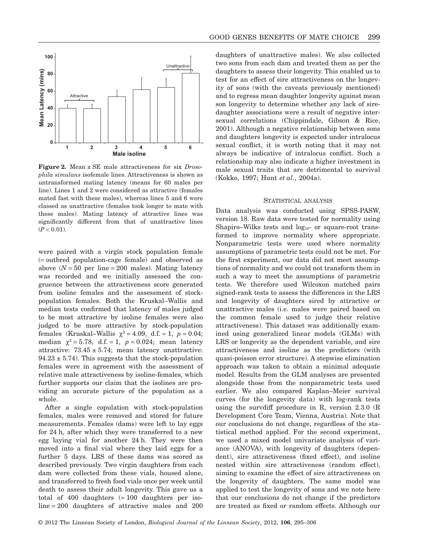

**Figure 2.** Mean ± SE male attractiveness for six *Drosophila simulans* isofemale lines. Attractiveness is shown as untransformed mating latency (means for 60 males per line). Lines 1 and 2 were considered as attractive (females mated fast with these males), whereas lines 5 and 6 were classed as unattractive (females took longer to mate with these males). Mating latency of attractive lines was significantly different from that of unattractive lines  $(P < 0.01)$ .

were paired with a virgin stock population female (= outbred population-cage female) and observed as above  $(N = 50$  per line = 200 males). Mating latency was recorded and we initially assessed the congruence between the attractiveness score generated from isoline females and the assessment of stockpopulation females. Both the Kruskal–Wallis and median tests confirmed that latency of males judged to be most attractive by isoline females were also judged to be more attractive by stock-population females (Kruskal–Wallis  $\chi^2 = 4.09$ , d.f. = 1,  $p = 0.04$ ; median  $\chi^2 = 5.78$ , d.f. = 1, *p* = 0.024; mean latency attractive:  $73.45 \pm 5.74$ ; mean latency unattractive:  $94.23 \pm 5.74$ . This suggests that the stock-population females were in agreement with the assessment of relative male attractiveness by isoline-females, which further supports our claim that the isolines are providing an accurate picture of the population as a whole.

After a single copulation with stock-population females, males were removed and stored for future measurements. Females (dams) were left to lay eggs for 24 h, after which they were transferred to a new egg laying vial for another 24 h. They were then moved into a final vial where they laid eggs for a further 5 days. LRS of these dams was scored as described previously. Two virgin daughters from each dam were collected from these vials, housed alone, and transferred to fresh food vials once per week until death to assess their adult longevity. This gave us a total of  $400$  daughters  $(=100$  daughters per isoline = 200 daughters of attractive males and 200 daughters of unattractive males). We also collected two sons from each dam and treated them as per the daughters to assess their longevity. This enabled us to test for an effect of sire attractiveness on the longevity of sons (with the caveats previously mentioned) and to regress mean daughter longevity against mean son longevity to determine whether any lack of siredaughter associations were a result of negative intersexual correlations (Chippindale, Gibson & Rice, 2001). Although a negative relationship between sons and daughters longevity is expected under intralocus sexual conflict, it is worth noting that it may not always be indicative of intralocus conflict. Such a relationship may also indicate a higher investment in male sexual traits that are detrimental to survival (Kokko, 1997; Hunt *et al*., 2004a).

#### STATISTICAL ANALYSIS

Data analysis was conducted using SPSS-PASW, version 18. Raw data were tested for normality using Shapiro–Wilks tests and  $log_{10}$ - or square-root transformed to improve normality where appropriate. Nonparametric tests were used where normality assumptions of parametric tests could not be met. For the first experiment, our data did not meet assumptions of normality and we could not transform them in such a way to meet the assumptions of parametric tests. We therefore used Wilcoxon matched pairs signed-rank tests to assess the differences in the LRS and longevity of daughters sired by attractive or unattractive males (i.e. males were paired based on the common female used to judge their relative attractiveness). This dataset was additionally examined using generalized linear models (GLMs) with LRS or longevity as the dependent variable, and sire attractiveness and isoline as the predictors (with quasi-poisson error structure). A stepwise elimination approach was taken to obtain a minimal adequate model. Results from the GLM analyses are presented alongside those from the nonparametric tests used earlier. We also compared Kaplan–Meier survival curves (for the longevity data) with log-rank tests using the survdiff procedure in R, version 2.3.0 (R Development Core Team, Vienna, Austria). Note that our conclusions do not change, regardless of the statistical method applied. For the second experiment, we used a mixed model univariate analysis of variance (ANOVA), with longevity of daughters (dependent), sire attractiveness (fixed effect), and isoline nested within sire attractiveness (random effect), aiming to examine the effect of sire attractiveness on the longevity of daughters. The same model was applied to test the longevity of sons and we note here that our conclusions do not change if the predictors are treated as fixed or random effects. Although our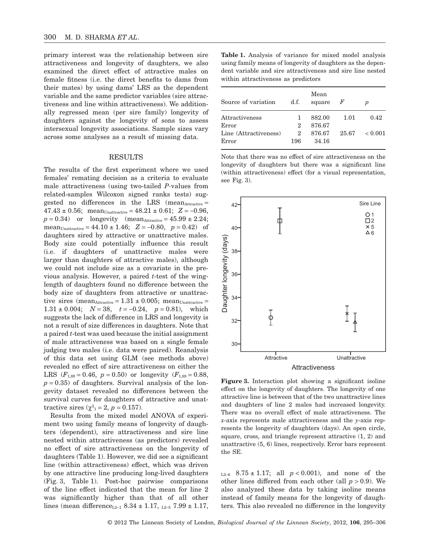primary interest was the relationship between sire attractiveness and longevity of daughters, we also examined the direct effect of attractive males on female fitness (i.e. the direct benefits to dams from their mates) by using dams' LRS as the dependent variable and the same predictor variables (sire attractiveness and line within attractiveness). We additionally regressed mean (per sire family) longevity of daughters against the longevity of sons to assess intersexual longevity associations. Sample sizes vary across some analyses as a result of missing data.

# RESULTS

The results of the first experiment where we used females' remating decision as a criteria to evaluate male attractiveness (using two-tailed *P-*values from related-samples Wilcoxon signed ranks tests) suggested no differences in the LRS (mean $_{\text{Attractive}} =$  $47.43 \pm 0.56$ ; mean<sub>Unattractive</sub> =  $48.21 \pm 0.61$ ;  $Z = -0.96$ ,  $p = 0.34$ ) or longevity (mean<sub>Attractive</sub> =  $45.99 \pm 2.24$ ; mean<sub>Unattractive</sub> = 44.10  $\pm$  1.46;  $Z = -0.80, p = 0.42$  of daughters sired by attractive or unattractive males. Body size could potentially influence this result (i.e. if daughters of unattractive males were larger than daughters of attractive males), although we could not include size as a covariate in the previous analysis. However, a paired *t*-test of the winglength of daughters found no difference between the body size of daughters from attractive or unattractive sires (mean<sub>Attractive</sub> =  $1.31 \pm 0.005$ ; mean<sub>Unattractive</sub> = 1.31 ± 0.004;  $N = 38$ ,  $t = -0.24$ ,  $p = 0.81$ ), which suggests the lack of difference in LRS and longevity is not a result of size differences in daughters. Note that a paired *t*-test was used because the initial assignment of male attractiveness was based on a single female judging two males (i.e. data were paired). Reanalysis of this data set using GLM (see methods above) revealed no effect of sire attractiveness on either the LRS  $(F_{1,89} = 0.46, p = 0.50)$  or longevity  $(F_{1,89} = 0.88,$  $p = 0.35$ ) of daughters. Survival analysis of the longevity dataset revealed no differences between the survival curves for daughters of attractive and unattractive sires  $(\chi^2_{1} = 2, p = 0.157)$ .

Results from the mixed model ANOVA of experiment two using family means of longevity of daughters (dependent), sire attractiveness and sire line nested within attractiveness (as predictors) revealed no effect of sire attractiveness on the longevity of daughters (Table 1). However, we did see a significant line (within attractiveness) effect, which was driven by one attractive line producing long-lived daughters (Fig. 3, Table 1). Post-hoc pairwise comparisons of the line effect indicated that the mean for line 2 was significantly higher than that of all other lines (mean difference<sub>L2–1</sub> 8.34  $\pm$  1.17,  $_{L2-5}$  7.99  $\pm$  1.17,

**Table 1.** Analysis of variance for mixed model analysis using family means of longevity of daughters as the dependent variable and sire attractiveness and sire line nested within attractiveness as predictors

| Source of variation            | d.f.     | Mean<br>square  | F     | р              |
|--------------------------------|----------|-----------------|-------|----------------|
| Attractiveness                 |          | 882.00          | 1.01  | 0.42           |
| Error                          | 2        | 876.67          |       |                |
| Line (Attractiveness)<br>Error | 2<br>196 | 876.67<br>34.16 | 25.67 | ${}_{< 0.001}$ |

Note that there was no effect of sire attractiveness on the longevity of daughters but there was a significant line (within attractiveness) effect (for a visual representation, see Fig. 3).



**Figure 3.** Interaction plot showing a significant isoline effect on the longevity of daughters. The longevity of one attractive line is between that of the two unattractive lines and daughters of line 2 males had increased longevity. There was no overall effect of male attractiveness. The *x*-axis represents male attractiveness and the *y*-axis represents the longevity of daughters (days). An open circle, square, cross, and triangle represent attractive (1, 2) and unattractive (5, 6) lines, respectively. Error bars represent the SE.

 $L_{2-6}$  8.75 ± 1.17; all  $p < 0.001$ ), and none of the other lines differed from each other (all  $p > 0.9$ ). We also analyzed these data by taking isoline means instead of family means for the longevity of daughters. This also revealed no difference in the longevity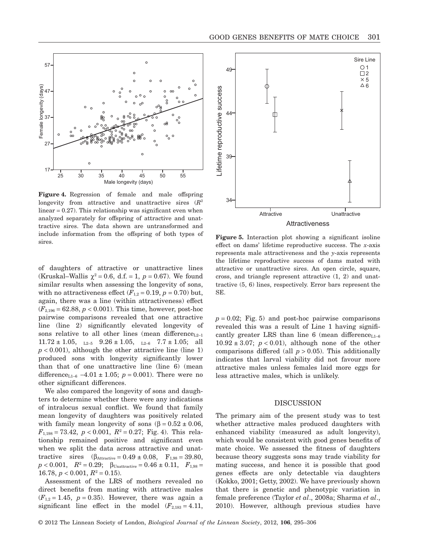



**Figure 4.** Regression of female and male offspring longevity from attractive and unattractive sires (*R*<sup>2</sup> linear = 0.27). This relationship was significant even when analyzed separately for offspring of attractive and unattractive sires. The data shown are untransformed and include information from the offspring of both types of sires.

of daughters of attractive or unattractive lines (Kruskal–Wallis  $\chi^2 = 0.6$ , d.f. = 1,  $p = 0.67$ ). We found similar results when assessing the longevity of sons, with no attractiveness effect  $(F_{1,2} = 0.19, p = 0.70)$  but, again, there was a line (within attractiveness) effect  $(F_{2,196} = 62.88, p < 0.001)$ . This time, however, post-hoc pairwise comparisons revealed that one attractive line (line 2) significantly elevated longevity of sons relative to all other lines (mean difference<sub>L2–1</sub>  $11.72 \pm 1.05$ ,  $_{L2-5}$   $9.26 \pm 1.05$ ,  $_{L2-6}$   $7.7 \pm 1.05$ ; all  $p < 0.001$ ), although the other attractive line (line 1) produced sons with longevity significantly lower than that of one unattractive line (line 6) (mean difference<sub>L1-6</sub> -4.01  $\pm$  1.05; *p* = 0.001). There were no other significant differences.

We also compared the longevity of sons and daughters to determine whether there were any indications of intralocus sexual conflict. We found that family mean longevity of daughters was positively related with family mean longevity of sons  $(\beta = 0.52 \pm 0.06,$  $F_{1,198} = 73.42, p < 0.001, R^2 = 0.27$ ; Fig. 4). This relationship remained positive and significant even when we split the data across attractive and unattractive sires  $(\beta_{\text{Attractive}} = 0.49 \pm 0.08, \quad F_{1,98} = 39.80,$  $p < 0.001$ ,  $R^2 = 0.29$ ;  $\beta_{\text{Unattractive}} = 0.46 \pm 0.11$ ,  $F_{1,98} =$ 16.78,  $p < 0.001$ ,  $R^2 = 0.15$ .

Assessment of the LRS of mothers revealed no direct benefits from mating with attractive males  $(F_{1,2} = 1.45, p = 0.35)$ . However, there was again a significant line effect in the model  $(F_{2,183} = 4.11,$ 



**Figure 5.** Interaction plot showing a significant isoline effect on dams' lifetime reproductive success. The *x*-axis represents male attractiveness and the *y*-axis represents the lifetime reproductive success of dams mated with attractive or unattractive sires. An open circle, square, cross, and triangle represent attractive (1, 2) and unattractive (5, 6) lines, respectively. Error bars represent the SE.

 $p = 0.02$ ; Fig. 5) and post-hoc pairwise comparisons revealed this was a result of Line 1 having significantly greater LRS than line 6 (mean difference<sub>L1–6</sub>  $10.92 \pm 3.07$ ;  $p < 0.01$ ), although none of the other comparisons differed (all  $p > 0.05$ ). This additionally indicates that larval viability did not favour more attractive males unless females laid more eggs for less attractive males, which is unlikely.

#### DISCUSSION

The primary aim of the present study was to test whether attractive males produced daughters with enhanced viability (measured as adult longevity), which would be consistent with good genes benefits of mate choice. We assessed the fitness of daughters because theory suggests sons may trade viability for mating success, and hence it is possible that good genes effects are only detectable via daughters (Kokko, 2001; Getty, 2002). We have previously shown that there is genetic and phenotypic variation in female preference (Taylor *et al*., 2008a; Sharma *et al*., 2010). However, although previous studies have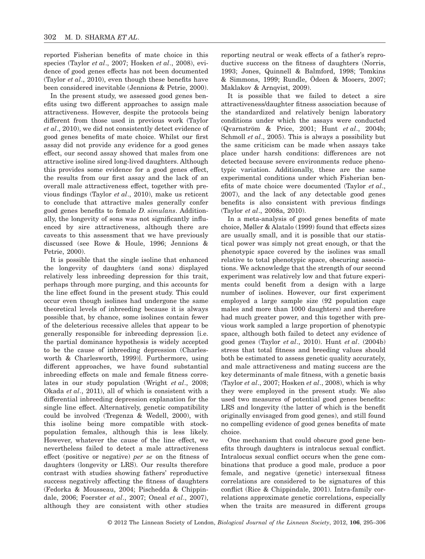reported Fisherian benefits of mate choice in this species (Taylor *et al*., 2007; Hosken *et al*., 2008), evidence of good genes effects has not been documented (Taylor *et al*., 2010), even though these benefits have been considered inevitable (Jennions & Petrie, 2000).

In the present study, we assessed good genes benefits using two different approaches to assign male attractiveness. However, despite the protocols being different from those used in previous work (Taylor *et al*., 2010), we did not consistently detect evidence of good genes benefits of mate choice. Whilst our first assay did not provide any evidence for a good genes effect, our second assay showed that males from one attractive isoline sired long-lived daughters. Although this provides some evidence for a good genes effect, the results from our first assay and the lack of an overall male attractiveness effect, together with previous findings (Taylor *et al*., 2010), make us reticent to conclude that attractive males generally confer good genes benefits to female *D. simulans*. Additionally, the longevity of sons was not significantly influenced by sire attractiveness, although there are caveats to this assessment that we have previously discussed (see Rowe & Houle, 1996; Jennions & Petrie, 2000).

It is possible that the single isoline that enhanced the longevity of daughters (and sons) displayed relatively less inbreeding depression for this trait, perhaps through more purging, and this accounts for the line effect found in the present study. This could occur even though isolines had undergone the same theoretical levels of inbreeding because it is always possible that, by chance, some isolines contain fewer of the deleterious recessive alleles that appear to be generally responsible for inbreeding depression [i.e. the partial dominance hypothesis is widely accepted to be the cause of inbreeding depression (Charlesworth & Charlesworth, 1999)]. Furthermore, using different approaches, we have found substantial inbreeding effects on male and female fitness correlates in our study population (Wright *et al*., 2008; Okada *et al*., 2011), all of which is consistent with a differential inbreeding depression explanation for the single line effect. Alternatively, genetic compatibility could be involved (Tregenza & Wedell, 2000), with this isoline being more compatible with stockpopulation females, although this is less likely. However, whatever the cause of the line effect, we nevertheless failed to detect a male attractiveness effect (positive or negative) *per se* on the fitness of daughters (longevity or LRS). Our results therefore contrast with studies showing fathers' reproductive success negatively affecting the fitness of daughters (Fedorka & Mousseau, 2004; Pischedda & Chippindale, 2006; Foerster *et al*., 2007; Oneal *et al*., 2007), although they are consistent with other studies

reporting neutral or weak effects of a father's reproductive success on the fitness of daughters (Norris, 1993; Jones, Quinnell & Balmford, 1998; Tomkins & Simmons, 1999; Rundle, Ödeen & Mooers, 2007; Maklakov & Arnqvist, 2009).

It is possible that we failed to detect a sire attractiveness/daughter fitness association because of the standardized and relatively benign laboratory conditions under which the assays were conducted (Qvarnström & Price, 2001; Hunt *et al*., 2004b; Schmoll *et al*., 2005). This is always a possibility but the same criticism can be made when assays take place under harsh conditions: differences are not detected because severe environments reduce phenotypic variation. Additionally, these are the same experimental conditions under which Fisherian benefits of mate choice were documented (Taylor *et al*., 2007), and the lack of any detectable good genes benefits is also consistent with previous findings (Taylor *et al*., 2008a, 2010).

In a meta-analysis of good genes benefits of mate choice, Møller & Alatalo (1999) found that effects sizes are usually small, and it is possible that our statistical power was simply not great enough, or that the phenotypic space covered by the isolines was small relative to total phenotypic space, obscuring associations. We acknowledge that the strength of our second experiment was relatively low and that future experiments could benefit from a design with a large number of isolines. However, our first experiment employed a large sample size (92 population cage males and more than 1000 daughters) and therefore had much greater power, and this together with previous work sampled a large proportion of phenotypic space, although both failed to detect any evidence of good genes (Taylor *et al*., 2010). Hunt *et al*. (2004b) stress that total fitness and breeding values should both be estimated to assess genetic quality accurately, and male attractiveness and mating success are the key determinants of male fitness, with a genetic basis (Taylor *et al*., 2007; Hosken *et al*., 2008), which is why they were employed in the present study. We also used two measures of potential good genes benefits: LRS and longevity (the latter of which is the benefit originally envisaged from good genes), and still found no compelling evidence of good genes benefits of mate choice.

One mechanism that could obscure good gene benefits through daughters is intralocus sexual conflict. Intralocus sexual conflict occurs when the gene combinations that produce a good male, produce a poor female, and negative (genetic) intersexual fitness correlations are considered to be signatures of this conflict (Rice & Chippindale, 2001). Intra-family correlations approximate genetic correlations, especially when the traits are measured in different groups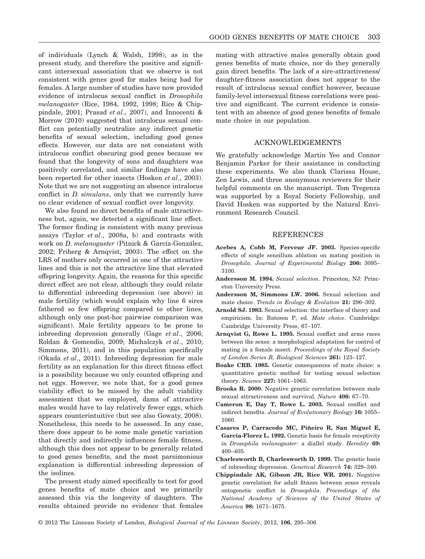of individuals (Lynch & Walsh, 1998), as in the present study, and therefore the positive and significant intersexual association that we observe is not consistent with genes good for males being bad for females. A large number of studies have now provided evidence of intralocus sexual conflict in *Drosophila melanogaster* (Rice, 1984, 1992, 1998; Rice & Chippindale, 2001; Prasad *et al*., 2007), and Innocenti & Morrow (2010) suggested that intralocus sexual conflict can potentially neutralize any indirect genetic benefits of sexual selection, including good genes effects. However, our data are not consistent with intralocus conflict obscuring good genes because we found that the longevity of sons and daughters was positively correlated, and similar findings have also been reported for other insects (Hosken *et al*., 2003). Note that we are not suggesting an absence intralocus conflict in *D. simulans*, only that we currently have no clear evidence of sexual conflict over longevity.

We also found no direct benefits of male attractiveness but, again, we detected a significant line effect. The former finding is consistent with many previous assays (Taylor *et al*., 2008a, b) and contrasts with work on *D. melanogaster* (Pitnick & García-González, 2002; Friberg & Arnqvist, 2003). The effect on the LRS of mothers only occurred in one of the attractive lines and this is not the attractive line that elevated offspring longevity. Again, the reasons for this specific direct effect are not clear, although they could relate to differential inbreeding depression (see above) in male fertility (which would explain why line 6 sires fathered so few offspring compared to other lines, although only one post-hoc pairwise comparison was significant). Male fertility appears to be prone to inbreeding depression generally (Gage *et al*., 2006; Roldan & Gomendio, 2009; Michalczyk *et al*., 2010; Simmons, 2011), and in this population specifically (Okada *et al*., 2011). Inbreeding depression for male fertility as an explanation for this direct fitness effect is a possibility because we only counted offspring and not eggs. However, we note that, for a good genes viability effect to be missed by the adult viability assessment that we employed, dams of attractive males would have to lay relatively fewer eggs, which appears counterintuitive (but see also Gowaty, 2008). Nonetheless, this needs to be assessed. In any case, there does appear to be some male genetic variation that directly and indirectly influences female fitness, although this does not appear to be generally related to good genes benefits, and the most parsimonious explanation is differential inbreeding depression of the isolines.

The present study aimed specifically to test for good genes benefits of mate choice and we primarily assessed this via the longevity of daughters. The results obtained provide no evidence that females mating with attractive males generally obtain good genes benefits of mate choice, nor do they generally gain direct benefits. The lack of a sire-attractiveness/ daughter-fitness association does not appear to the result of intralocus sexual conflict however, because family-level intersexual fitness correlations were positive and significant. The current evidence is consistent with an absence of good genes benefits of female mate choice in our population.

## ACKNOWLEDGEMENTS

We gratefully acknowledge Martin Yeo and Connor Benjamin Parker for their assistance in conducting these experiments. We also thank Clarissa House, Zen Lewis, and three anonymous reviewers for their helpful comments on the manuscript. Tom Tregenza was supported by a Royal Society Fellowship, and David Hosken was supported by the Natural Environment Research Council.

#### REFERENCES

- **Acebes A, Cobb M, Ferveur JF. 2003.** Species-specific effects of single sensillum ablation on mating position in *Drosophila*. *Journal of Experimental Biology* **206:** 3095– 3100.
- **Andersson M. 1994.** *Sexual selection*. Princeton, NJ: Princeton University Press.
- **Andersson M, Simmons LW. 2006.** Sexual selection and mate choice. *Trends in Ecology & Evolution* **21:** 296–302.
- **Arnold SJ. 1983.** Sexual selection: the interface of theory and empiricism. In: Bateson P, ed. *Mate choice*. Cambridge: Cambridge University Press, 67–107.
- **Arnqvist G, Rowe L. 1995.** Sexual conflict and arms races between the sexes: a morphological adaptation for control of mating in a female insect. *Proceedings of the Royal Society of London Series B, Biological Sciences* **261:** 123–127.
- **Boake CRB. 1985.** Genetic consequences of mate choice: a quantitative genetic method for testing sexual selection theory. *Science* **227:** 1061–1063.
- **Brooks R. 2000.** Negative genetic correlation between male sexual attractiveness and survival. *Nature* **406:** 67–70.
- **Cameron E, Day T, Rowe L. 2003.** Sexual conflict and indirect benefits. *Journal of Evolutionary Biology* **16:** 1055– 1060.
- **Casares P, Carracedo MC, Piñeiro R, San Miguel E, Garcia-Florez L. 1992.** Genetic basis for female receptivity in *Drosophila melanogaster*: a diallel study. *Heredity* **69:** 400–405.
- **Charlesworth B, Charlesworth D. 1999.** The genetic basis of inbreeding depression. *Genetical Research* **74:** 329–340.
- **Chippindale AK, Gibson JR, Rice WR. 2001.** Negative genetic correlation for adult fitness between sexes reveals ontogenetic conflict in *Drosophila*. *Proceedings of the National Academy of Sciences of the United States of America* **98:** 1671–1675.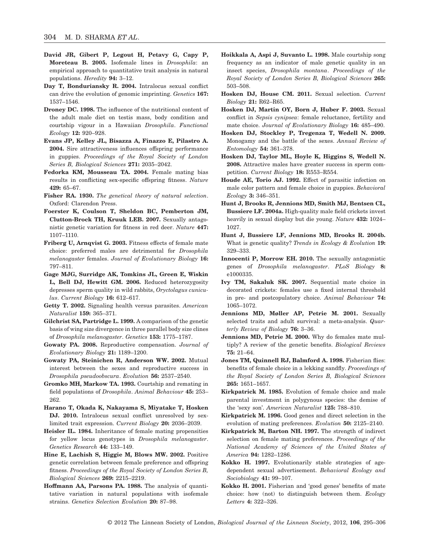- **David JR, Gibert P, Legout H, Petavy G, Capy P, Moreteau B. 2005.** Isofemale lines in *Drosophila*: an empirical approach to quantitative trait analysis in natural populations. *Heredity* **94:** 3–12.
- **Day T, Bonduriansky R. 2004.** Intralocus sexual conflict can drive the evolution of genomic imprinting. *Genetics* **167:** 1537–1546.
- **Droney DC. 1998.** The influence of the nutritional content of the adult male diet on testis mass, body condition and courtship vigour in a Hawaiian *Drosophila*. *Functional Ecology* **12:** 920–928.
- **Evans JP, Kelley JL, Bisazza A, Finazzo E, Pilastro A. 2004.** Sire attractiveness influences offspring performance in guppies. *Proceedings of the Royal Society of London Series B, Biological Sciences* **271:** 2035–2042.
- **Fedorka KM, Mousseau TA. 2004.** Female mating bias results in conflicting sex-specific offspring fitness. *Nature* **429:** 65–67.
- **Fisher RA. 1930.** *The genetical theory of natural selection*. Oxford: Clarendon Press.
- **Foerster K, Coulson T, Sheldon BC, Pemberton JM, Clutton-Brock TH, Kruuk LEB. 2007.** Sexually antagonistic genetic variation for fitness in red deer. *Nature* **447:** 1107–1110.
- **Friberg U, Arnqvist G. 2003.** Fitness effects of female mate choice: preferred males are detrimental for *Drosophila melanogaster* females. *Journal of Evolutionary Biology* **16:** 797–811.
- **Gage MJG, Surridge AK, Tomkins JL, Green E, Wiskin L, Bell DJ, Hewitt GM. 2006.** Reduced heterozygosity depresses sperm quality in wild rabbits, *Oryctolagus cuniculus*. *Current Biology* **16:** 612–617.
- **Getty T. 2002.** Signaling health versus parasites. *American Naturalist* **159:** 365–371.
- **Gilchrist SA, Partridge L. 1999.** A comparison of the genetic basis of wing size divergence in three parallel body size clines of *Drosophila melanogaster*. *Genetics* **153:** 1775–1787.
- **Gowaty PA. 2008.** Reproductive compensation. *Journal of Evolutionary Biology* **21:** 1189–1200.
- **Gowaty PA, Steinichen R, Anderson WW. 2002.** Mutual interest between the sexes and reproductive success in *Drosophila pseudoobscura*. *Evolution* **56:** 2537–2540.
- **Gromko MH, Markow TA. 1993.** Courtship and remating in field populations of *Drosophila*. *Animal Behaviour* **45:** 253– 262.
- **Harano T, Okada K, Nakayama S, Miyatake T, Hosken** DJ. 2010. Intralocus sexual conflict unresolved by sexlimited trait expression. *Current Biology* **20:** 2036–2039.
- **Heisler IL. 1984.** Inheritance of female mating propensities for yellow locus genotypes in *Drosophila melanogaster*. *Genetics Research* **44:** 133–149.
- **Hine E, Lachish S, Higgie M, Blows MW. 2002.** Positive genetic correlation between female preference and offspring fitness. *Proceedings of the Royal Society of London Series B, Biological Sciences* **269:** 2215–2219.
- **Hoffmann AA, Parsons PA. 1988.** The analysis of quantitative variation in natural populations with isofemale strains. *Genetics Selection Evolution* **20:** 87–98.
- **Hoikkala A, Aspi J, Suvanto L. 1998.** Male courtship song frequency as an indicator of male genetic quality in an insect species, *Drosophila montana*. *Proceedings of the Royal Society of London Series B, Biological Sciences* **265:** 503–508.
- **Hosken DJ, House CM. 2011.** Sexual selection. *Current Biology* **21:** R62–R65.
- **Hosken DJ, Martin OY, Born J, Huber F. 2003.** Sexual conflict in *Sepsis cynipsea*: female reluctance, fertility and mate choice. *Journal of Evolutionary Biology* **16:** 485–490.
- **Hosken DJ, Stockley P, Tregenza T, Wedell N. 2009.** Monogamy and the battle of the sexes. *Annual Review of Entomology* **54:** 361–378.
- **Hosken DJ, Taylor ML, Hoyle K, Higgins S, Wedell N. 2008.** Attractive males have greater success in sperm competition. *Current Biology* **18:** R553–R554.
- **Houde AE, Torio AJ. 1992.** Effect of parasitic infection on male color pattern and female choice in guppies. *Behavioral Ecology* **3:** 346–351.
- **Hunt J, Brooks R, Jennions MD, Smith MJ, Bentsen CL, Bussiere LF. 2004a.** High-quality male field crickets invest heavily in sexual display but die young. *Nature* **432:** 1024– 1027.
- **Hunt J, Bussiere LF, Jennions MD, Brooks R. 2004b.** What is genetic quality? *Trends in Ecology & Evolution* **19:** 329–333.
- **Innocenti P, Morrow EH. 2010.** The sexually antagonistic genes of *Drosophila melanogaster*. *PLoS Biology* **8:** e1000335.
- **Ivy TM, Sakaluk SK. 2007.** Sequential mate choice in decorated crickets: females use a fixed internal threshold in pre- and postcopulatory choice. *Animal Behaviour* **74:** 1065–1072.
- **Jennions MD, Møller AP, Petrie M. 2001.** Sexually selected traits and adult survival: a meta-analysis. *Quarterly Review of Biology* **76:** 3–36.
- **Jennions MD, Petrie M. 2000.** Why do females mate multiply? A review of the genetic benefits. *Biological Reviews* **75:** 21–64.
- **Jones TM, Quinnell RJ, Balmford A. 1998.** Fisherian flies: benefits of female choice in a lekking sandfly. *Proceedings of the Royal Society of London Series B, Biological Sciences* **265:** 1651–1657.
- **Kirkpatrick M. 1985.** Evolution of female choice and male parental investment in polygynous species: the demise of the 'sexy son'. *American Naturalist* **125:** 788–810.
- **Kirkpatrick M. 1996.** Good genes and direct selection in the evolution of mating preferences. *Evolution* **50:** 2125–2140.
- **Kirkpatrick M, Barton NH. 1997.** The strength of indirect selection on female mating preferences. *Proceedings of the National Academy of Sciences of the United States of America* **94:** 1282–1286.
- **Kokko H. 1997.** Evolutionarily stable strategies of agedependent sexual advertisement. *Behavioral Ecology and Sociobiology* **41:** 99–107.
- **Kokko H. 2001.** Fisherian and 'good genes' benefits of mate choice: how (not) to distinguish between them. *Ecology Letters* **4:** 322–326.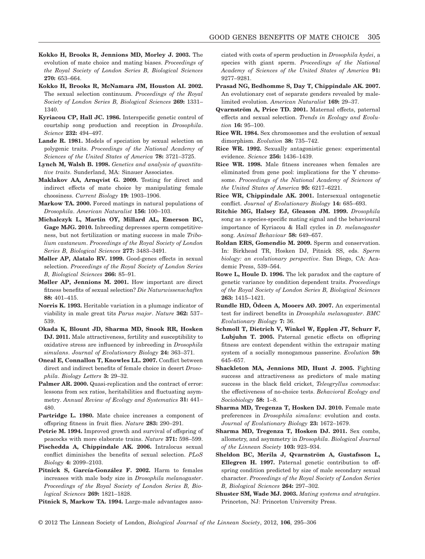- **Kokko H, Brooks R, Jennions MD, Morley J. 2003.** The evolution of mate choice and mating biases. *Proceedings of the Royal Society of London Series B, Biological Sciences* **270:** 653–664.
- **Kokko H, Brooks R, McNamara JM, Houston AI. 2002.** The sexual selection continuum. *Proceedings of the Royal Society of London Series B, Biological Sciences* **269:** 1331– 1340.
- **Kyriacou CP, Hall JC. 1986.** Interspecific genetic control of courtship song production and reception in *Drosophila*. *Science* **232:** 494–497.
- **Lande R. 1981.** Models of speciation by sexual selection on polygenic traits. *Proceedings of the National Academy of Sciences of the United States of America* **78:** 3721–3725.
- **Lynch M, Walsh B. 1998.** *Genetics and analysis of quantitative traits*. Sunderland, MA: Sinauer Associates.
- **Maklakov AA, Arnqvist G. 2009.** Testing for direct and indirect effects of mate choice by manipulating female choosiness. *Current Biology* **19:** 1903–1906.
- **Markow TA. 2000.** Forced matings in natural populations of *Drosophila*. *American Naturalist* **156:** 100–103.
- **Michalczyk L, Martin OY, Millard AL, Emerson BC, Gage MJG. 2010.** Inbreeding depresses sperm competitiveness, but not fertilization or mating success in male *Tribolium castaneum*. *Proceedings of the Royal Society of London Series B, Biological Sciences* **277:** 3483–3491.
- **Møller AP, Alatalo RV. 1999.** Good-genes effects in sexual selection. *Proceedings of the Royal Society of London Series B, Biological Sciences* **266:** 85–91.
- **Møller AP, Jennions M. 2001.** How important are direct fitness benefits of sexual selection? *Die Naturwissenschaften* **88:** 401–415.
- **Norris K. 1993.** Heritable variation in a plumage indicator of viability in male great tits *Parus major*. *Nature* **362:** 537– 539.
- **Okada K, Blount JD, Sharma MD, Snook RR, Hosken DJ. 2011.** Male attractiveness, fertility and susceptibility to oxidative stress are influenced by inbreeding in *Drosophila simulans*. *Journal of Evolutionary Biology* **24:** 363–371.
- **Oneal E, Connallon T, Knowles LL. 2007.** Conflict between direct and indirect benefits of female choice in desert *Drosophila*. *Biology Letters* **3:** 29–32.
- **Palmer AR. 2000.** Quasi-replication and the contract of error: lessons from sex ratios, heritabilities and fluctuating asymmetry. *Annual Review of Ecology and Systematics* **31:** 441– 480.
- **Partridge L. 1980.** Mate choice increases a component of offspring fitness in fruit flies. *Nature* **283:** 290–291.
- Petrie M. 1994. Improved growth and survival of offspring of peacocks with more elaborate trains. *Nature* **371:** 598–599.
- **Pischedda A, Chippindale AK. 2006.** Intralocus sexual conflict diminishes the benefits of sexual selection. *PLoS Biology* **4:** 2099–2103.
- **Pitnick S, García-González F. 2002.** Harm to females increases with male body size in *Drosophila melanogaster*. *Proceedings of the Royal Society of London Series B, Biological Sciences* **269:** 1821–1828.
- **Pitnick S, Markow TA. 1994.** Large-male advantages asso-

ciated with costs of sperm production in *Drosophila hydei*, a species with giant sperm. *Proceedings of the National Academy of Sciences of the United States of America* **91:** 9277–9281.

- **Prasad NG, Bedhomme S, Day T, Chippindale AK. 2007.** An evolutionary cost of separate genders revealed by malelimited evolution. *American Naturalist* **169:** 29–37.
- **Qvarnström A, Price TD. 2001.** Maternal effects, paternal effects and sexual selection. *Trends in Ecology and Evolution* **16:** 95–100.
- **Rice WR. 1984.** Sex chromosomes and the evolution of sexual dimorphism. *Evolution* **38:** 735–742.
- **Rice WR. 1992.** Sexually antagonistic genes: experimental evidence. *Science* **256:** 1436–1439.
- **Rice WR. 1998.** Male fitness increases when females are eliminated from gene pool: implications for the Y chromosome. *Proceedings of the National Academy of Sciences of the United States of America* **95:** 6217–6221.
- **Rice WR, Chippindale AK. 2001.** Intersexual ontogenetic conflict. *Journal of Evolutionary Biology* **14:** 685–693.
- **Ritchie MG, Halsey EJ, Gleason JM. 1999.** *Drosophila* song as a species-specific mating signal and the behavioural importance of Kyriacou & Hall cycles in *D. melanogaster* song. *Animal Behaviour* **58:** 649–657.
- **Roldan ERS, Gomendio M. 2009.** Sperm and conservation. In: Birkhead TR, Hosken DJ, Pitnick SS, eds. *Sperm biology: an evolutionary perspective*. San Diego, CA: Academic Press, 539–564.
- **Rowe L, Houle D. 1996.** The lek paradox and the capture of genetic variance by condition dependent traits. *Proceedings of the Royal Society of London Series B, Biological Sciences* **263:** 1415–1421.
- **Rundle HD, Ödeen A, Mooers AØ. 2007.** An experimental test for indirect benefits in *Drosophila melanogaster*. *BMC Evolutionary Biology* **7:** 36.
- **Schmoll T, Dietrich V, Winkel W, Epplen JT, Schurr F, Lubjuhn T. 2005.** Paternal genetic effects on offspring fitness are context dependent within the extrapair mating system of a socially monogamous passerine. *Evolution* **59:** 645–657.
- **Shackleton MA, Jennions MD, Hunt J. 2005.** Fighting success and attractiveness as predictors of male mating success in the black field cricket, *Teleogryllus commodus*: the effectiveness of no-choice tests. *Behavioral Ecology and Sociobiology* **58:** 1–8.
- **Sharma MD, Tregenza T, Hosken DJ. 2010.** Female mate preferences in *Drosophila simulans*: evolution and costs. *Journal of Evolutionary Biology* **23:** 1672–1679.
- **Sharma MD, Tregenza T, Hosken DJ. 2011.** Sex combs, allometry, and asymmetry in *Drosophila*. *Biological Journal of the Linnean Society* **103:** 923–934.
- **Sheldon BC, Merila J, Qvarnström A, Gustafsson L, Ellegren H. 1997.** Paternal genetic contribution to offspring condition predicted by size of male secondary sexual character. *Proceedings of the Royal Society of London Series B, Biological Sciences* **264:** 297–302.
- **Shuster SM, Wade MJ. 2003.** *Mating systems and strategies*. Princeton, NJ: Princeton University Press.